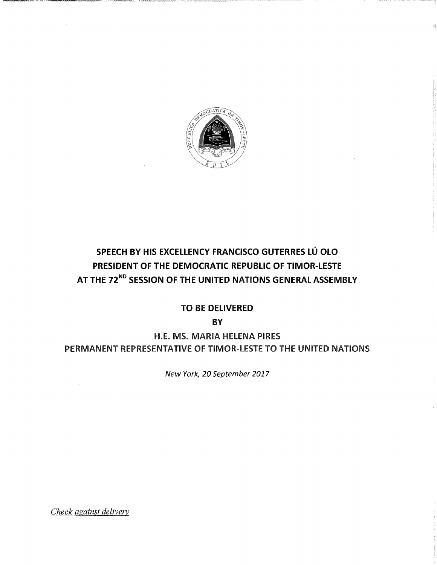

# SPEECH BY HIS EXCELLENCY FRANCISCO GUTERRES LÚ OLO PRESIDENT OF THE DEMOCRATIC REPUBLIC OF TIMOR-LESTE AT THE 72<sup>ND</sup> SESSION OF THE UNITED NATIONS GENERAL ASSEMBLY

## TO BE DELIVERED

**BY** 

H.E. MS. MARIA HELENA PIRES PERMANENT REPRESENTATIVE OF TIMOR-LESTE TO THE UNITED NATIONS

New York, 20 September 2017

Check against delivery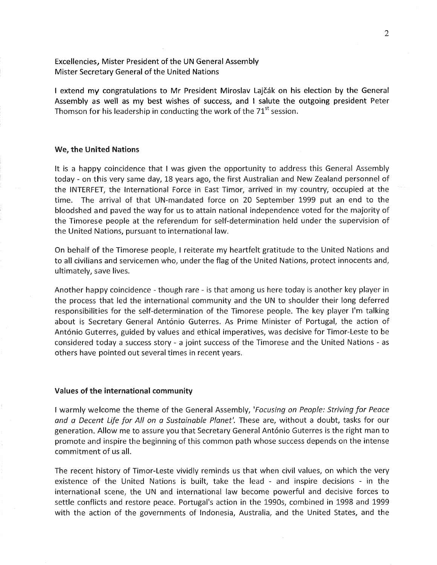Excellencies, Mister President of the UN General Assembly Mister Secretary General of the United Nations

I extend my congratulations to Mr President Miroslav Lajčák on his election by the General Assembly as well as my best wishes of success, and I salute the outgoing president Peter Thomson for his leadership in conducting the work of the  $71<sup>st</sup>$  session.

#### We, the United Nations

It is a happy coincidence that I was given the opportunity to address this General Assembly today- on this very same day, 18 years ago, the first Australian and New Zealand personnel of the INTERFET, the International Force in East Timor, arrived in my country, occupied at the time. The arrival of that UN-mandated force on 20 September 1999 put an end to the bloodshed and paved the way for us to attain national independence voted for the majority of the Timorese people at the referendum for self-determination held under the supervision of the United Nations, pursuant to international law.

On behalf of the Timorese people, I reiterate my heartfelt gratitude to the United Nations and to all civilians and servicemen who, under the flag of the United Nations, protect innocents and, ultimately, save lives.

Another happy coincidence - though rare- is that among us here today is another key player in the process that led the international community and the UN to shoulder their long deferred responsibilities for the self-determination of the Timorese people. The key player I'm talking about is Secretary General António Guterres. As Prime Minister of Portugal, the action of António Guterres, guided by values and ethical imperatives, was decisive for Timor-Leste to be considered today a success story - a joint success of the Timorese and the United Nations - as others have pointed out several times in recent years.

#### Values of the international community

I warmly welcome the theme of the General Assembly, 'Focusing on People: Striving for Peace and a Decent Life for All on a Sustainable Planet'. These are, without a doubt, tasks for our generation. Allow me to assure you that Secretary General Ant6nio Guterres is the right man to promote and inspire the beginning of this common path whose success depends on the intense commitment of us all.

The recent history of Timor-Leste vividly reminds us that when civil values, on which the very existence of the United Nations is built, take the lead - and inspire decisions - in the international scene, the UN and international law become powerful and decisive forces to settle conflicts and restore peace. Portugal's action in the 1990s, combined in 1998 and 1999 with the action of the governments of Indonesia, Australia, and the United States, and the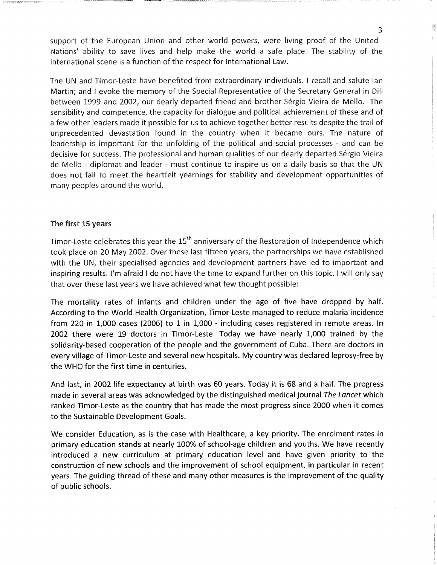support of the European Union and other world powers, were living proof of the United Nations' ability to save lives and help make the world a safe place. The stability of the international scene is a function of the respect for International Law.

The UN and Timor-Leste have benefited from extraordinary individuals. I recall and salute lan Martin; and I evoke the memory of the Special Representative of the Secretary General in Dili between 1999 and 2002, our dearly departed friend and brother Sérgio Vieira de Mello. The sensibility and competence, the capacity for dialogue and political achievement of these and of a few other leaders made it possible for us to achieve together better results despite the trail of unprecedented devastation found in the country when it became ours. The nature of leadership is important for the unfolding of the political and social processes - and can be decisive for success, The professional and human qualities of our dearly departed Sergio Vieira de Mello - diplomat and leader - must continue to inspire us on a daily basis so that the UN does not fail to meet the heartfelt yearnings for stability and development opportunities of many peoples around the world.

## The first 15 years

Timor-Leste celebrates this year the  $15<sup>th</sup>$  anniversary of the Restoration of Independence which took place on 20 May 2002. Over these last fifteen years, the partnerships we have established with the UN, their specialised agencies and development partners have led to important and inspiring results, i'm afraid I do not have the time to expand further on this topic. I will only say that over these last years we have achieved what few thought possible:

The mortality rates of infants and children under the age of five have dropped by half. According to the World Health Organization, Timor-Leste managed to reduce malaria incidence from 220 in 1,000 cases (2006) to 1 in 1,000 - including cases registered in remote areas. In 2002 there were 19 doctors in Timor-Leste. Today we have nearly 1,000 trained by the solidarity-based cooperation of the people and the government of Cuba. There are doctors in every village of Timor-Leste and several new hospitals. My country was declared leprosy-free by the WHO for the first time in centuries.

And last, in 2002 life expectancy at birth was 60 years. Today it is 68 and a half. The progress made in several areas was acknowledged by the distinguished medical journal The Lancet which ranked Timor-Leste as the country that has made the most progress since 2000 when it comes to the Sustainable Development Goals.

We consider Education, as is the case with Healthcare, a key priority. The enrolment rates in primary education stands at nearly 100% of school-age children and youths. We have recently introduced a new curriculum at primary education level and have given priority to the construction of new schools and the improvement of school equipment, in particular in recent years. The guiding thread of these and many other measures is the improvement of the quality of public schools.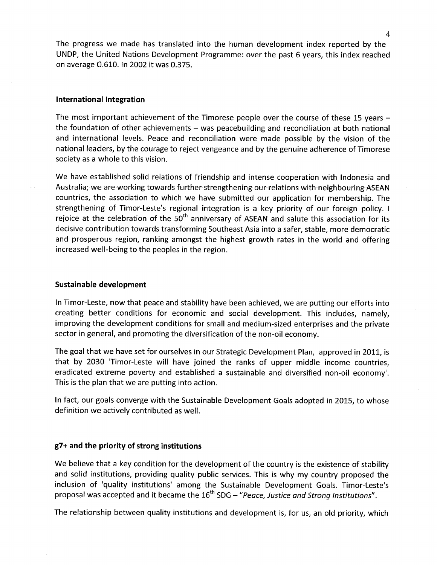The progress we made has translated into the human development index reported by the UNDP, the United Nations Development Programme: over the past 6 years, this index reached on average O.610. In 2002 it was 0.375.

#### International Integration

The most important achievement of the Timorese people over the course of these 15 years the foundation of other achievements  $-$  was peacebuilding and reconciliation at both national and international levels. Peace and reconciliation were made possible by the vision of the national leaders, by the courage to reject vengeance and by the genuine adherence of Timorese society as a whole to this vision.

We have established solid relations of friendship and intense cooperation with Indonesia and Australia; we are working towards further strengthening our relations with neighbouring ASEAN countries, the association to which we have submitted our application for membership. The strengthening of Timor-Leste's regional integration is a key priority of our foreign policy. I rejoice at the celebration of the  $50<sup>th</sup>$  anniversary of ASEAN and salute this association for its decisive contribution towards transforming Southeast Asia into a safer, stable, more democratic and prosperous region, ranking amongst the highest growth rates in the world and offering increased well-being to the peoples in the region.

#### Sustainable development

In Timor-Leste, now that peace and stability have been achieved, we are putting our efforts into creating better conditions for economic and social development. This includes, namely, improving the development conditions for small and medium-sized enterprises and the private sector in general, and promoting the diversification of the non-oil economy.

The goal that we have set for ourselves in our Strategic Development Plan, approved in 2011, is that by 2030 'Timor-Leste will have joined the ranks of upper middle income countries, eradicated extreme poverty and established a sustainable and diversified non-oil economy'. This is the plan that we are putting into action.

In fact, our goals converge with the Sustainable Development Goals adopted in 2015, to whose definition we actively contributed as well.

## g7+ and the priority of strong institutions

We believe that a key condition for the development of the country is the existence of stability and solid institutions, providing quality public services. This is why my country proposed the inclusion of 'quality institutions' among the Sustainable Development Goals. Timor-Leste's proposal was accepted and it became the  $16<sup>th</sup>$  SDG – "Peace, Justice and Strong Institutions".

The relationship between quality institutions and development is, for us, an old priority, which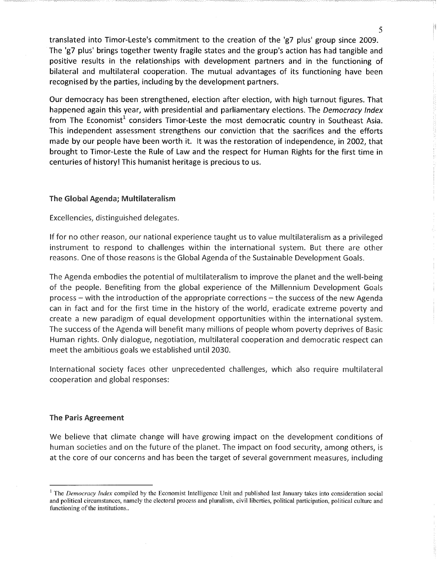translated into Timor-Leste's commitment to the creation of the 'g7 plus' group since 2009. The 'g7 plus' brings together twenty fragile states and the group's action has had tangible and positive results in the relationships with development partners and in the functioning of bilateral and multilateral cooperation. The mutual advantages of its functioning have been recognised by the parties, including by the development partners.

Our democracy has been strengthened, election after election, with high turnout figures. That happened again this year, with presidential and parliamentary elections. The Democracy Index from The Economist<sup>1</sup> considers Timor-Leste the most democratic country in Southeast Asia. This independent assessment strengthens our conviction that the sacrifices and the efforts made by our people have been worth it. It was the restoration of independence, in 2002, that brought to Timor-Leste the Rule of Law and the respect for Human Rights for the first time in centuries of history! This humanist heritage is precious to us.

## The Global Agenda; Multilateralism

Excellencies, distinguished delegates.

If for no other reason, our national experience taught us to value multilateralism as a privileged instrument to respond to challenges within the international system. But there are other reasons. One of those reasons is the Global Agenda of the Sustainable Development Goals.

The Agenda embodies the potential of multilateralism to improve the planet and the well-being of the people. Benefiting from the global experience of the Millennium Development Goals  $process -$  with the introduction of the appropriate corrections  $-$  the success of the new Agenda can in fact and for the first time in the history of the world, eradicate extreme poverty and create a new paradigm of equal development opportunities within the international system. The success of the Agenda will benefit many millions of people whom poverty deprives of Basic Human rights. Only dialogue, negotiation, multilateral cooperation and democratic respect can meet the ambitious goals we established until 2030.

International society faces other unprecedented challenges, which also require multilateral cooperation and global responses:

## The Paris Agreement

We believe that climate change will have growing impact on the development conditions of human societies and on the future of the planet. The impact on food security, among others, is at the core of our concerns and has been the target of several government measures, including

 $1$  The *Democracy Index* compiled by the Economist Intelligence Unit and published last January takes into consideration social and political circumstances, namely the electoral process and pluralism, civil liberties, political participation, political culture and functioning of the institutions..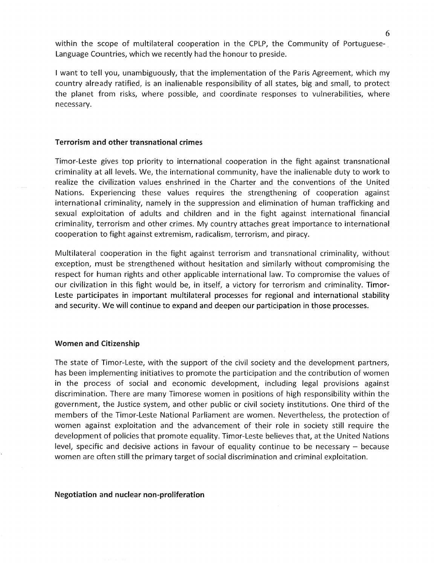within the scope of multilateral cooperation in the CPLP, the Community of Portuguese-Language Countries, which we recently had the honour to preside.

I want to tell you, unambiguously, that the implementation of the Paris Agreement, which my country already ratified, is an inalienable responsibility of all states, big and small, to protect the planet from risks, where possible, and coordinate responses to vulnerabilities, where necessary.

#### Terrorism and other transnational crimes

Timor-Leste gives top priority to international cooperation in the fight against transnational criminality at all levels. We, the international community, have the inalienable duty to work to realize the civilization values enshrined in the Charter and the conventions of the United Nations. Experiencing these values requires the strengthening of cooperation against international criminality, namely in the suppression and elimination of human trafficking and sexual exploitation of adults and children and in the fight against international financial criminality, terrorism and other crimes. My country attaches great importance to international cooperation to fight against extremism, radicalism, terrorism, and piracy.

Multilateral cooperation in the fight against terrorism and transnational criminality, without exception, must be strengthened without hesitation and similarly without compromising the respect for human rights and other applicable international law. To compromise the values of our civilization in this fight would be, in itself, a victory for terrorism and criminality. Timor-Leste participates in important multilateral processes for regional and international stability and security. We will continue to expand and deepen our participation in those processes.

#### Women and Citizenship

The state of Timor-Leste, with the support of the civil society and the development partners, has been implementing initiatives to promote the participation and the contribution of women in the process of social and economic development, including legal provisions against discrimination. There are many Timorese women in positions of high responsibility within the government, the Justice system, and other public or civil society institutions. One third of the members of the Timor-Leste National Parliament are women. Nevertheless, the protection of women against exploitation and the advancement of their role in society still require the development of policies that promote equality. Timor-Leste believes that, at the United Nations level, specific and decisive actions in favour of equality continue to be necessary  $-$  because women are often still the primary target of social discrimination and criminal exploitation.

#### Negotiation and nuclear non-proliferation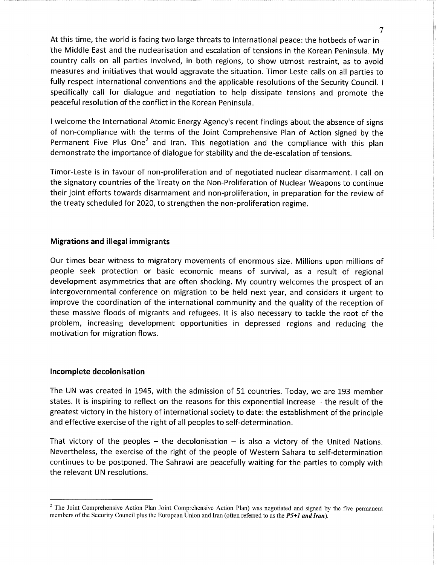At this time, the world is facing two large threats to international peace: the hotbeds of war in the Middle East and the nuclearisation and escalation of tensions in the Korean Peninsula. My country calls on all parties involved, in both regions, to show utmost restraint, as to avoid measures and initiatives that would aggravate the situation. Timor-Leste calls on all parties to fully respect international conventions and the applicable resolutions of the Security Council. I specifically call for dialogue and negotiation to help dissipate tensions and promote the peaceful resolution of the conflict in the Korean Peninsula.

I welcome the International Atomic Energy Agency's recent findings about the absence of signs of non-compliance with the terms of the Joint Comprehensive Pian of Action signed by the Permanent Five Plus One<sup>2</sup> and Iran. This negotiation and the compliance with this plan demonstrate the importance of dialogue for stability and the de-escalation of tensions.

Timor-Leste is in favour of non-proliferation and of negotiated nuclear disarmament. I call on the signatory countries of the Treaty on the Non-Proliferation of Nuclear Weapons to continue their joint efforts towards disarmament and non-proliferation, in preparation for the review of the treaty scheduled for 2020, to strengthen the non-proliferation regime.

## Migrations and illegal immigrants

Our times bear witness to migratory movements of enormous size. Millions upon millions of people seek protection or basic economic means of survival, as a result of regional development asymmetries that are often shocking. My country welcomes the prospect of an intergovernmental conference on migration to be held next year, and considers it urgent to improve the coordination of the international community and the quality of the reception of these massive floods of migrants and refugees. It is also necessary to tackle the root of the problem, increasing development opportunities in depressed regions and reducing the motivation for migration flows.

#### Incomplete decolonisation

The UN was created in 1945, with the admission of 51 countries. Today, we are 193 member states. It is inspiring to reflect on the reasons for this exponential increase  $-$  the result of the greatest victory in the history of international society to date: the establishment of the principle and effective exercise of the right of all peoples to self-determination.

That victory of the peoples – the decolonisation  $-$  is also a victory of the United Nations. Nevertheless, the exercise of the right of the people of Western Sahara to self-determination continues to be postponed. The Sahrawi are peacefully waiting for the parties to comply with the relevant UN resolutions.

7

<sup>&</sup>lt;sup>2</sup> The Joint Comprehensive Action Plan Joint Comprehensive Action Plan) was negotiated and signed by the five permanent members of the Security Council plus the European Union and Iran (often referred to as the  $P5+1$  and Iran).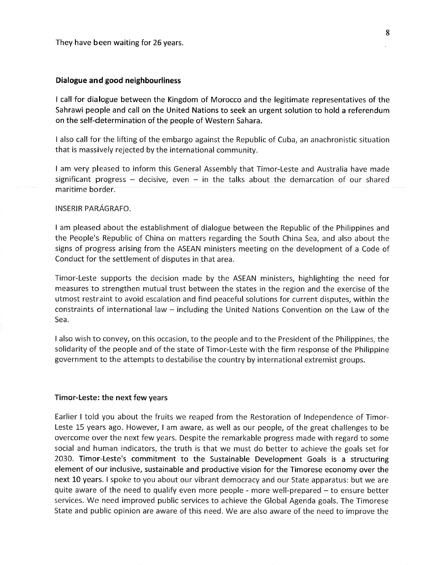#### Dialogue and good neighbourliness

I call for dialogue between the Kingdom of Morocco and the legitimate representatives of the Sahrawi people and call on the United Nations to seek an urgent solution to hold a referendum on the self-determination of the people of Western Sahara.

I also call for the lifting of the embargo against the Republic of Cuba, an anachronistic situation that is massively rejected by the international community.

I am very pleased to inform this General Assembly that Timor-Leste and Australia have made significant progress – decisive, even – in the talks about the demarcation of our shared maritime border.

## INSERIR PARAGRAFO.

I am pleased about the establishment of dialogue between the Republic of the Philippines and the People's Republic of China on matters regarding the South China Sea, and also about the signs of progress arising from the ASEAN ministers meeting on the development of a Code of Conduct for the settlement of disputes in that area.

Timor-Leste supports the decision made by the ASEAN ministers, highlighting the need for measures to strengthen mutual trust between the states in the region and the exercise of the utmost restraint to avoid escalation and find peaceful solutions for current disputes, within the constraints of international law - including the United Nations Convention on the Law of the Sea.

I also wish to convey, on this occasion, to the people and to the President of the Philippines, the solidarity of the people and of the state of Timor-Leste with the firm response of the Philippine government to the attempts to destabilise the country by international extremist groups.

#### Timor-Leste: the next few years

Earlier I told you about the fruits we reaped from the Restoration of Independence of Timor-Leste 15 years ago. However, I am aware, as well as our people, of the great challenges to be overcome over the next few years. Despite the remarkable progress made with regard to some social and human indicators, the truth is that we must do better to achieve the goals set for 2030. Timor-Leste's commitment to the Sustainable Development Goals is a structuring element of our inclusive, sustainable and productive vision for the Timorese economy over the next 10 years. I spoke to you about our vibrant democracy and our State apparatus: but we are quite aware of the need to qualify even more people - more well-prepared - to ensure better services. We need improved public services to achieve the Global Agenda goals. The Timorese State and public opinion are aware of this need. We are also aware of the need to improve the